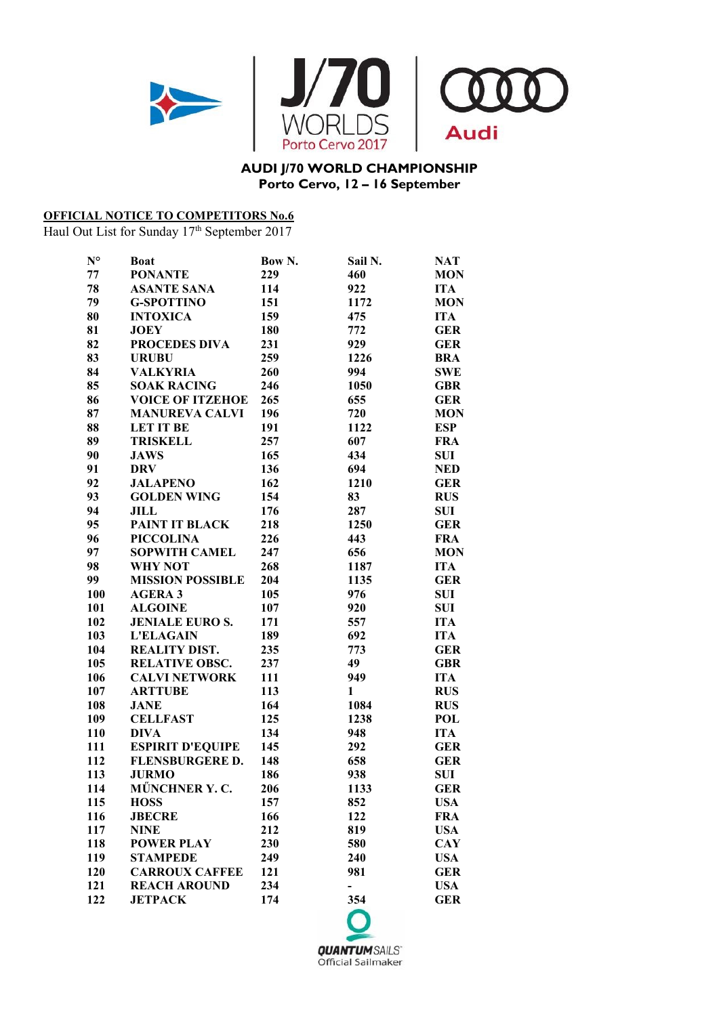

## **AUDI J/70 WORLD CHAMPIONSHIP Porto Cervo, 12 – 16 September**

## **OFFICIAL NOTICE TO COMPETITORS No.6**

Haul Out List for Sunday 17<sup>th</sup> September 2017

| $N^{\circ}$ | <b>Boat</b>             | Bow N. | Sail N.      | <b>NAT</b> |
|-------------|-------------------------|--------|--------------|------------|
| 77          | <b>PONANTE</b>          | 229    | 460          | <b>MON</b> |
| 78          | <b>ASANTE SANA</b>      | 114    | 922          | <b>ITA</b> |
| 79          | <b>G-SPOTTINO</b>       | 151    | 1172         | <b>MON</b> |
| 80          | <b>INTOXICA</b>         | 159    | 475          | <b>ITA</b> |
| 81          | <b>JOEY</b>             | 180    | 772          | <b>GER</b> |
| 82          | <b>PROCEDES DIVA</b>    | 231    | 929          | <b>GER</b> |
| 83          | <b>URUBU</b>            | 259    | 1226         | <b>BRA</b> |
| 84          | <b>VALKYRIA</b>         | 260    | 994          | <b>SWE</b> |
| 85          | <b>SOAK RACING</b>      | 246    | 1050         | <b>GBR</b> |
| 86          | <b>VOICE OF ITZEHOE</b> | 265    | 655          | <b>GER</b> |
| 87          | <b>MANUREVA CALVI</b>   | 196    | 720          | <b>MON</b> |
| 88          | <b>LET IT BE</b>        | 191    | 1122         | <b>ESP</b> |
| 89          | <b>TRISKELL</b>         | 257    | 607          | <b>FRA</b> |
| 90          | <b>JAWS</b>             | 165    | 434          | <b>SUI</b> |
| 91          | <b>DRV</b>              | 136    | 694          | <b>NED</b> |
| 92          | <b>JALAPENO</b>         | 162    | 1210         | <b>GER</b> |
| 93          | <b>GOLDEN WING</b>      | 154    | 83           | <b>RUS</b> |
| 94          | JILL                    | 176    | 287          | <b>SUI</b> |
| 95          | <b>PAINT IT BLACK</b>   | 218    | 1250         | <b>GER</b> |
| 96          | <b>PICCOLINA</b>        | 226    | 443          | <b>FRA</b> |
| 97          | <b>SOPWITH CAMEL</b>    | 247    | 656          | <b>MON</b> |
| 98          | <b>WHY NOT</b>          | 268    | 1187         | <b>ITA</b> |
| 99          | <b>MISSION POSSIBLE</b> | 204    | 1135         | <b>GER</b> |
| 100         | <b>AGERA 3</b>          | 105    | 976          | SUI        |
| 101         | <b>ALGOINE</b>          | 107    | 920          | <b>SUI</b> |
| 102         | <b>JENIALE EURO S.</b>  | 171    | 557          | <b>ITA</b> |
| 103         | <b>L'ELAGAIN</b>        | 189    | 692          | <b>ITA</b> |
| 104         | <b>REALITY DIST.</b>    | 235    | 773          | <b>GER</b> |
| 105         | <b>RELATIVE OBSC.</b>   | 237    | 49           | <b>GBR</b> |
| 106         | <b>CALVI NETWORK</b>    | 111    | 949          | <b>ITA</b> |
| 107         | <b>ARTTUBE</b>          | 113    | $\mathbf{1}$ | <b>RUS</b> |
| 108         | <b>JANE</b>             | 164    | 1084         | <b>RUS</b> |
| 109         | <b>CELLFAST</b>         | 125    | 1238         | <b>POL</b> |
| 110         | <b>DIVA</b>             | 134    | 948          | <b>ITA</b> |
| 111         | <b>ESPIRIT D'EQUIPE</b> | 145    | 292          | <b>GER</b> |
| 112         | <b>FLENSBURGERE D.</b>  | 148    | 658          | <b>GER</b> |
| 113         | <b>JURMO</b>            | 186    | 938          | SUI        |
| 114         | MŰNCHNER Y.C.           | 206    | 1133         | <b>GER</b> |
| 115         | <b>HOSS</b>             | 157    | 852          | <b>USA</b> |
| 116         | <b>JBECRE</b>           | 166    | 122          | <b>FRA</b> |
| 117         | <b>NINE</b>             | 212    | 819          | <b>USA</b> |
| 118         | <b>POWER PLAY</b>       | 230    | 580          | <b>CAY</b> |
| 119         | <b>STAMPEDE</b>         | 249    | 240          | <b>USA</b> |
| 120         | <b>CARROUX CAFFEE</b>   | 121    | 981          | <b>GER</b> |
| 121         | <b>REACH AROUND</b>     | 234    | -            | <b>USA</b> |
| 122         | <b>JETPACK</b>          | 174    | 354          | <b>GER</b> |
|             |                         |        |              |            |